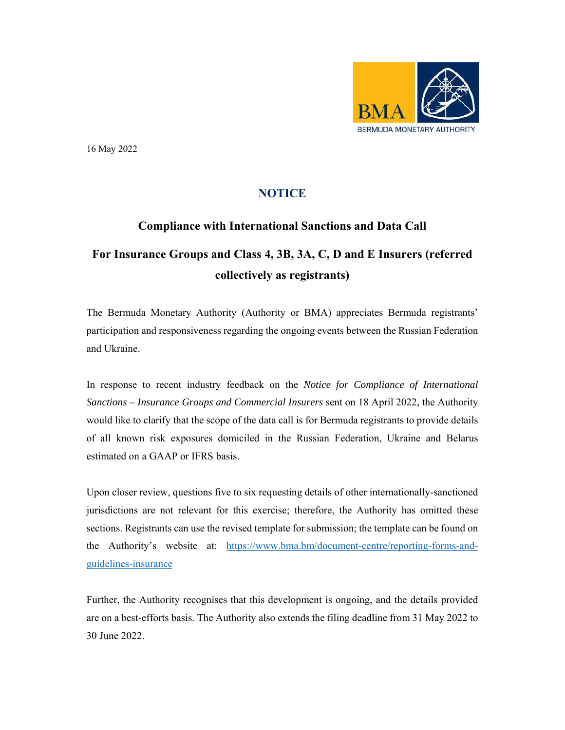

16 May 2022

## **NOTICE**

## **Compliance with International Sanctions and Data Call**

## **For Insurance Groups and Class 4, 3B, 3A, C, D and E Insurers (referred collectively as registrants)**

The Bermuda Monetary Authority (Authority or BMA) appreciates Bermuda registrants' participation and responsiveness regarding the ongoing events between the Russian Federation and Ukraine.

In response to recent industry feedback on the *Notice for Compliance of International Sanctions – Insurance Groups and Commercial Insurers* sent on 18 April 2022, the Authority would like to clarify that the scope of the data call is for Bermuda registrants to provide details of all known risk exposures domiciled in the Russian Federation, Ukraine and Belarus estimated on a GAAP or IFRS basis.

Upon closer review, questions five to six requesting details of other internationally-sanctioned jurisdictions are not relevant for this exercise; therefore, the Authority has omitted these sections. Registrants can use the revised template for submission; the template can be found on the Authority's website at: https://www.bma.bm/document-centre/reporting-forms-andguidelines-insurance

Further, the Authority recognises that this development is ongoing, and the details provided are on a best-efforts basis. The Authority also extends the filing deadline from 31 May 2022 to 30 June 2022.